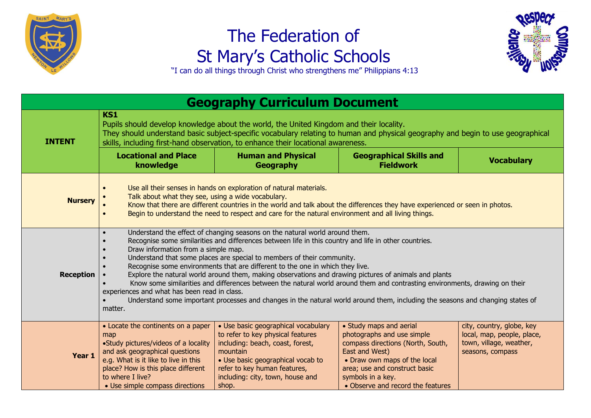

## The Federation of St Mary's Catholic Schools



"I can do all things through Christ who strengthens me" Philippians 4:13

| <b>Geography Curriculum Document</b> |                                                                                                                                                                                                                                                                                                                                                                                                                                                                                                                                                                                                                                                                                                                                                                                                                                                                                              |                                                                                                                                                                                                                                            |                                                                                                                                                                                                                                         |                                                                                                        |  |  |
|--------------------------------------|----------------------------------------------------------------------------------------------------------------------------------------------------------------------------------------------------------------------------------------------------------------------------------------------------------------------------------------------------------------------------------------------------------------------------------------------------------------------------------------------------------------------------------------------------------------------------------------------------------------------------------------------------------------------------------------------------------------------------------------------------------------------------------------------------------------------------------------------------------------------------------------------|--------------------------------------------------------------------------------------------------------------------------------------------------------------------------------------------------------------------------------------------|-----------------------------------------------------------------------------------------------------------------------------------------------------------------------------------------------------------------------------------------|--------------------------------------------------------------------------------------------------------|--|--|
| <b>INTENT</b>                        | <b>KS1</b><br>Pupils should develop knowledge about the world, the United Kingdom and their locality.<br>They should understand basic subject-specific vocabulary relating to human and physical geography and begin to use geographical<br>skills, including first-hand observation, to enhance their locational awareness.                                                                                                                                                                                                                                                                                                                                                                                                                                                                                                                                                                 |                                                                                                                                                                                                                                            |                                                                                                                                                                                                                                         |                                                                                                        |  |  |
|                                      | <b>Locational and Place</b><br>knowledge                                                                                                                                                                                                                                                                                                                                                                                                                                                                                                                                                                                                                                                                                                                                                                                                                                                     | <b>Human and Physical</b><br>Geography                                                                                                                                                                                                     | <b>Geographical Skills and</b><br><b>Fieldwork</b>                                                                                                                                                                                      | <b>Vocabulary</b>                                                                                      |  |  |
| <b>Nursery</b>                       | Use all their senses in hands on exploration of natural materials.<br>$\bullet$<br>Talk about what they see, using a wide vocabulary.<br>Know that there are different countries in the world and talk about the differences they have experienced or seen in photos.<br>Begin to understand the need to respect and care for the natural environment and all living things.<br>$\bullet$                                                                                                                                                                                                                                                                                                                                                                                                                                                                                                    |                                                                                                                                                                                                                                            |                                                                                                                                                                                                                                         |                                                                                                        |  |  |
| Reception                            | Understand the effect of changing seasons on the natural world around them.<br>$\bullet$<br>Recognise some similarities and differences between life in this country and life in other countries.<br>$\bullet$<br>Draw information from a simple map.<br>$\bullet$<br>Understand that some places are special to members of their community.<br>$\bullet$<br>Recognise some environments that are different to the one in which they live.<br>Explore the natural world around them, making observations and drawing pictures of animals and plants<br>Know some similarities and differences between the natural world around them and contrasting environments, drawing on their<br>experiences and what has been read in class.<br>Understand some important processes and changes in the natural world around them, including the seasons and changing states of<br>$\bullet$<br>matter. |                                                                                                                                                                                                                                            |                                                                                                                                                                                                                                         |                                                                                                        |  |  |
| Year 1                               | • Locate the continents on a paper<br>map<br>•Study pictures/videos of a locality<br>and ask geographical questions<br>e.g. What is it like to live in this<br>place? How is this place different<br>to where I live?<br>• Use simple compass directions                                                                                                                                                                                                                                                                                                                                                                                                                                                                                                                                                                                                                                     | • Use basic geographical vocabulary<br>to refer to key physical features<br>including: beach, coast, forest,<br>mountain<br>• Use basic geographical vocab to<br>refer to key human features,<br>including: city, town, house and<br>shop. | • Study maps and aerial<br>photographs and use simple<br>compass directions (North, South,<br>East and West)<br>• Draw own maps of the local<br>area; use and construct basic<br>symbols in a key.<br>• Observe and record the features | city, country, globe, key<br>local, map, people, place,<br>town, village, weather,<br>seasons, compass |  |  |